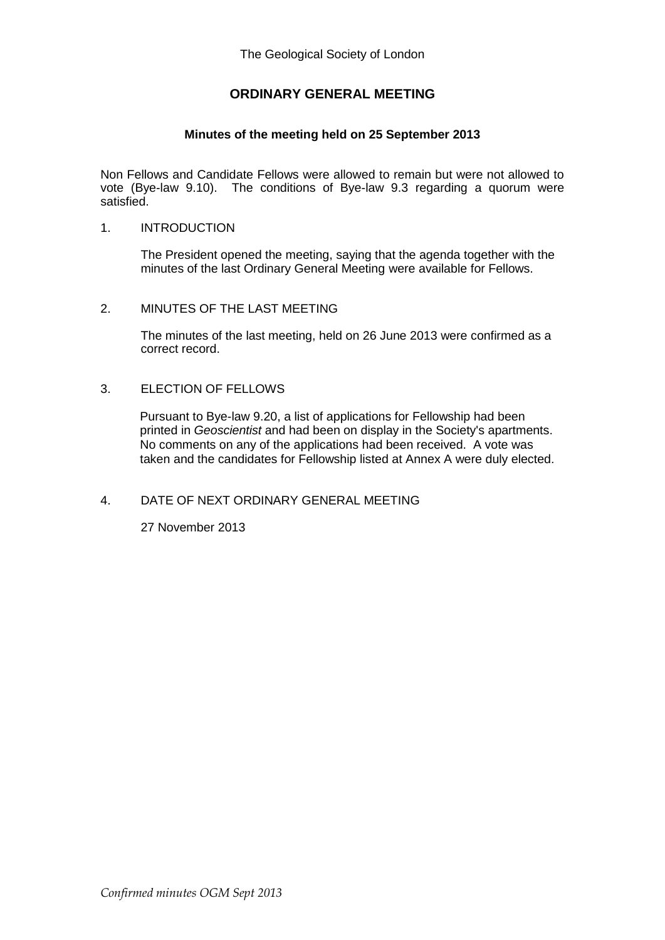## **ORDINARY GENERAL MEETING**

#### **Minutes of the meeting held on 25 September 2013**

Non Fellows and Candidate Fellows were allowed to remain but were not allowed to vote (Bye-law 9.10). The conditions of Bye-law 9.3 regarding a quorum were satisfied.

#### 1. INTRODUCTION

The President opened the meeting, saying that the agenda together with the minutes of the last Ordinary General Meeting were available for Fellows.

#### 2. MINUTES OF THE LAST MEETING

The minutes of the last meeting, held on 26 June 2013 were confirmed as a correct record.

#### 3. ELECTION OF FELLOWS

Pursuant to Bye-law 9.20, a list of applications for Fellowship had been printed in *Geoscientist* and had been on display in the Society's apartments. No comments on any of the applications had been received. A vote was taken and the candidates for Fellowship listed at Annex A were duly elected.

### 4. DATE OF NEXT ORDINARY GENERAL MEETING

27 November 2013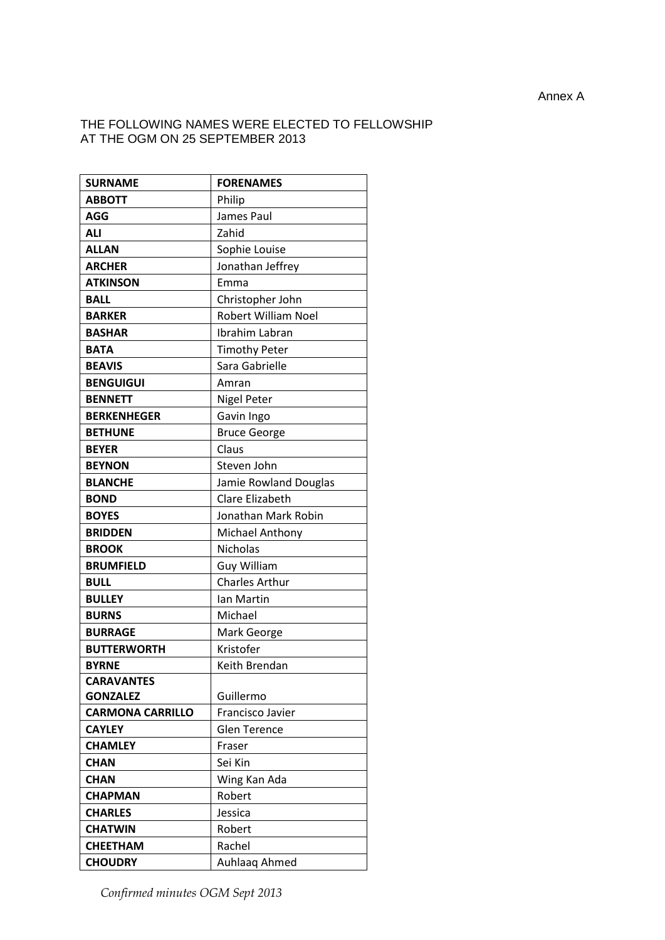#### THE FOLLOWING NAMES WERE ELECTED TO FELLOWSHIP AT THE OGM ON 25 SEPTEMBER 2013

| <b>SURNAME</b>          | <b>FORENAMES</b>           |
|-------------------------|----------------------------|
| <b>ABBOTT</b>           | Philip                     |
| <b>AGG</b>              | James Paul                 |
| <b>ALI</b>              | Zahid                      |
| <b>ALLAN</b>            | Sophie Louise              |
| <b>ARCHER</b>           | Jonathan Jeffrey           |
| <b>ATKINSON</b>         | Emma                       |
| <b>BALL</b>             | Christopher John           |
| <b>BARKER</b>           | <b>Robert William Noel</b> |
| <b>BASHAR</b>           | Ibrahim Labran             |
| <b>BATA</b>             | <b>Timothy Peter</b>       |
| <b>BEAVIS</b>           | Sara Gabrielle             |
| <b>BENGUIGUI</b>        | Amran                      |
| <b>BENNETT</b>          | <b>Nigel Peter</b>         |
| <b>BERKENHEGER</b>      | Gavin Ingo                 |
| <b>BETHUNE</b>          | <b>Bruce George</b>        |
| <b>BEYER</b>            | Claus                      |
| <b>BEYNON</b>           | Steven John                |
| <b>BLANCHE</b>          | Jamie Rowland Douglas      |
| <b>BOND</b>             | <b>Clare Elizabeth</b>     |
| <b>BOYES</b>            | Jonathan Mark Robin        |
| <b>BRIDDEN</b>          | Michael Anthony            |
| <b>BROOK</b>            | <b>Nicholas</b>            |
| <b>BRUMFIELD</b>        | <b>Guy William</b>         |
| <b>BULL</b>             | <b>Charles Arthur</b>      |
| <b>BULLEY</b>           | lan Martin                 |
| <b>BURNS</b>            | Michael                    |
| <b>BURRAGE</b>          | Mark George                |
| <b>BUTTERWORTH</b>      | Kristofer                  |
| <b>BYRNE</b>            | Keith Brendan              |
| <b>CARAVANTES</b>       |                            |
| <b>GONZALEZ</b>         | Guillermo                  |
| <b>CARMONA CARRILLO</b> | Francisco Javier           |
| <b>CAYLEY</b>           | <b>Glen Terence</b>        |
| <b>CHAMLEY</b>          | Fraser                     |
| <b>CHAN</b>             | Sei Kin                    |
| <b>CHAN</b>             | Wing Kan Ada               |
| <b>CHAPMAN</b>          | Robert                     |
| <b>CHARLES</b>          | Jessica                    |
| <b>CHATWIN</b>          | Robert                     |
| <b>CHEETHAM</b>         | Rachel                     |
| <b>CHOUDRY</b>          | Auhlaaq Ahmed              |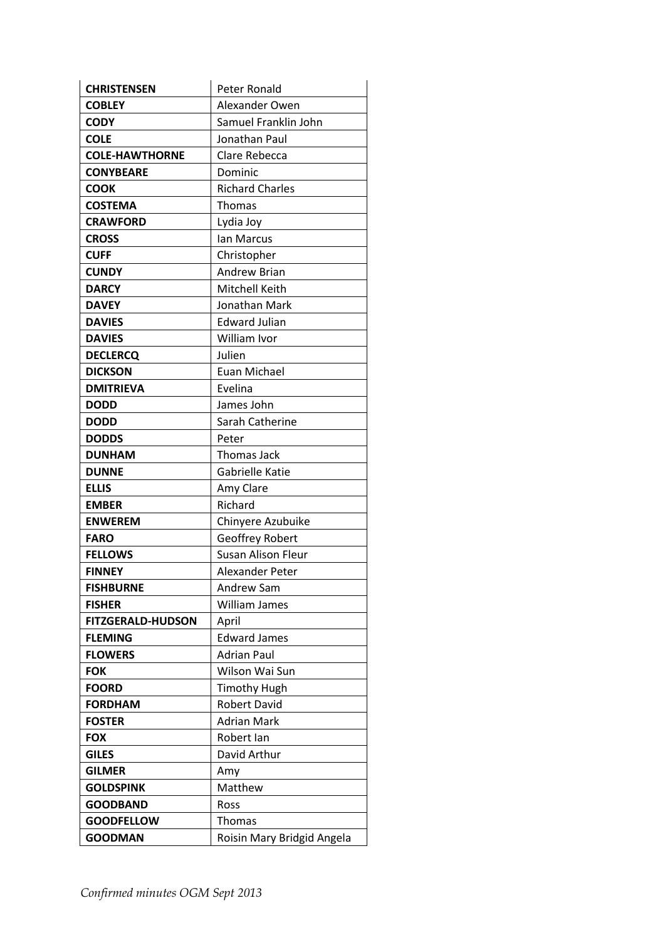| <b>CHRISTENSEN</b>       | Peter Ronald               |
|--------------------------|----------------------------|
| <b>COBLEY</b>            | Alexander Owen             |
| <b>CODY</b>              | Samuel Franklin John       |
| <b>COLE</b>              | Jonathan Paul              |
| <b>COLE-HAWTHORNE</b>    | Clare Rebecca              |
| <b>CONYBEARE</b>         | Dominic                    |
| <b>COOK</b>              | <b>Richard Charles</b>     |
| <b>COSTEMA</b>           | Thomas                     |
| <b>CRAWFORD</b>          | Lydia Joy                  |
| <b>CROSS</b>             | Ian Marcus                 |
| <b>CUFF</b>              | Christopher                |
| <b>CUNDY</b>             | Andrew Brian               |
| <b>DARCY</b>             | Mitchell Keith             |
| <b>DAVEY</b>             | Jonathan Mark              |
| <b>DAVIES</b>            | <b>Edward Julian</b>       |
| <b>DAVIES</b>            | William Ivor               |
| <b>DECLERCQ</b>          | Julien                     |
| <b>DICKSON</b>           | <b>Euan Michael</b>        |
| <b>DMITRIEVA</b>         | Evelina                    |
| <b>DODD</b>              | James John                 |
| <b>DODD</b>              | Sarah Catherine            |
| <b>DODDS</b>             | Peter                      |
| <b>DUNHAM</b>            | Thomas Jack                |
| <b>DUNNE</b>             | Gabrielle Katie            |
| <b>ELLIS</b>             | Amy Clare                  |
| <b>EMBER</b>             | Richard                    |
| <b>ENWEREM</b>           | Chinyere Azubuike          |
| <b>FARO</b>              | <b>Geoffrey Robert</b>     |
| <b>FELLOWS</b>           | <b>Susan Alison Fleur</b>  |
| <b>FINNEY</b>            | <b>Alexander Peter</b>     |
| <b>FISHBURNE</b>         | <b>Andrew Sam</b>          |
| <b>FISHER</b>            | William James              |
| <b>FITZGERALD-HUDSON</b> | April                      |
| <b>FLEMING</b>           | <b>Edward James</b>        |
| <b>FLOWERS</b>           | <b>Adrian Paul</b>         |
| <b>FOK</b>               | Wilson Wai Sun             |
| <b>FOORD</b>             | <b>Timothy Hugh</b>        |
| <b>FORDHAM</b>           | <b>Robert David</b>        |
| <b>FOSTER</b>            | <b>Adrian Mark</b>         |
| <b>FOX</b>               | Robert Ian                 |
| <b>GILES</b>             | David Arthur               |
| <b>GILMER</b>            | Amy                        |
| <b>GOLDSPINK</b>         | Matthew                    |
| <b>GOODBAND</b>          | Ross                       |
| <b>GOODFELLOW</b>        | Thomas                     |
| <b>GOODMAN</b>           | Roisin Mary Bridgid Angela |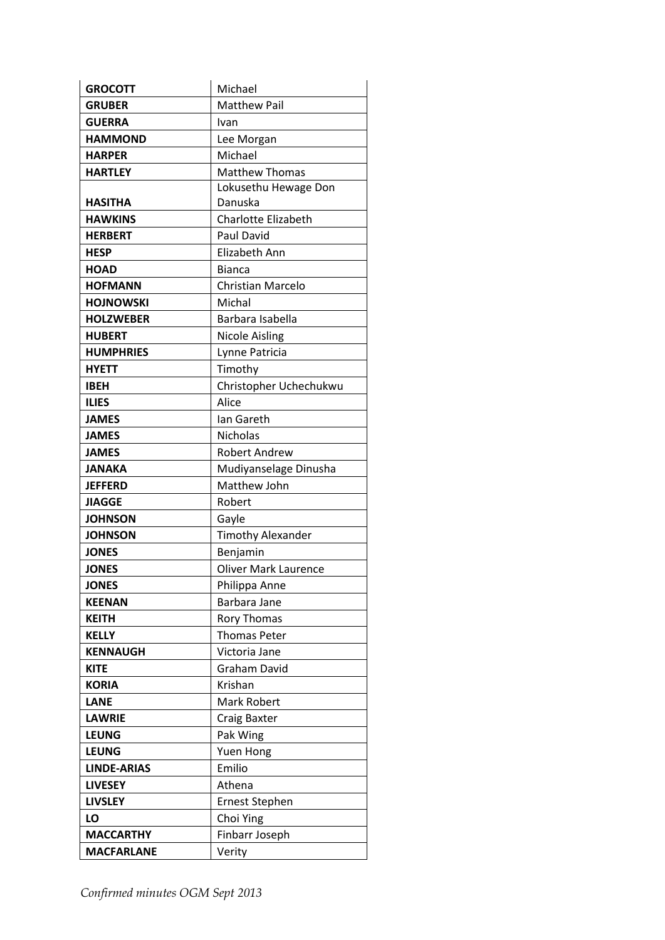| <b>GROCOTT</b>     | Michael                     |
|--------------------|-----------------------------|
| <b>GRUBER</b>      | <b>Matthew Pail</b>         |
| <b>GUERRA</b>      | Ivan                        |
| <b>HAMMOND</b>     | Lee Morgan                  |
| <b>HARPER</b>      | Michael                     |
| <b>HARTLEY</b>     | <b>Matthew Thomas</b>       |
|                    | Lokusethu Hewage Don        |
| <b>HASITHA</b>     | Danuska                     |
| <b>HAWKINS</b>     | <b>Charlotte Elizabeth</b>  |
| <b>HERBERT</b>     | Paul David                  |
| <b>HESP</b>        | <b>Elizabeth Ann</b>        |
| <b>HOAD</b>        | <b>Bianca</b>               |
| <b>HOFMANN</b>     | Christian Marcelo           |
| <b>HOJNOWSKI</b>   | Michal                      |
| <b>HOLZWEBER</b>   | Barbara Isabella            |
| <b>HUBERT</b>      | <b>Nicole Aisling</b>       |
| <b>HUMPHRIES</b>   | Lynne Patricia              |
| <b>HYETT</b>       | Timothy                     |
| <b>IBEH</b>        | Christopher Uchechukwu      |
| <b>ILIES</b>       | Alice                       |
| <b>JAMES</b>       | lan Gareth                  |
| <b>JAMES</b>       | <b>Nicholas</b>             |
| <b>JAMES</b>       | <b>Robert Andrew</b>        |
| JANAKA             | Mudiyanselage Dinusha       |
| <b>JEFFERD</b>     | Matthew John                |
| <b>JIAGGE</b>      | Robert                      |
| <b>JOHNSON</b>     | Gayle                       |
| <b>JOHNSON</b>     | <b>Timothy Alexander</b>    |
| <b>JONES</b>       | Benjamin                    |
| <b>JONES</b>       | <b>Oliver Mark Laurence</b> |
| <b>JONES</b>       | Philippa Anne               |
| <b>KEENAN</b>      | Barbara Jane                |
| <b>KEITH</b>       | Rory Thomas                 |
| <b>KELLY</b>       | <b>Thomas Peter</b>         |
| <b>KENNAUGH</b>    | Victoria Jane               |
| <b>KITE</b>        | Graham David                |
| <b>KORIA</b>       | Krishan                     |
| <b>LANE</b>        | Mark Robert                 |
| <b>LAWRIE</b>      | Craig Baxter                |
| <b>LEUNG</b>       | Pak Wing                    |
| <b>LEUNG</b>       | Yuen Hong                   |
| <b>LINDE-ARIAS</b> | Emilio                      |
| <b>LIVESEY</b>     | Athena                      |
| <b>LIVSLEY</b>     | <b>Ernest Stephen</b>       |
| LO                 | Choi Ying                   |
| <b>MACCARTHY</b>   | Finbarr Joseph              |
| <b>MACFARLANE</b>  | Verity                      |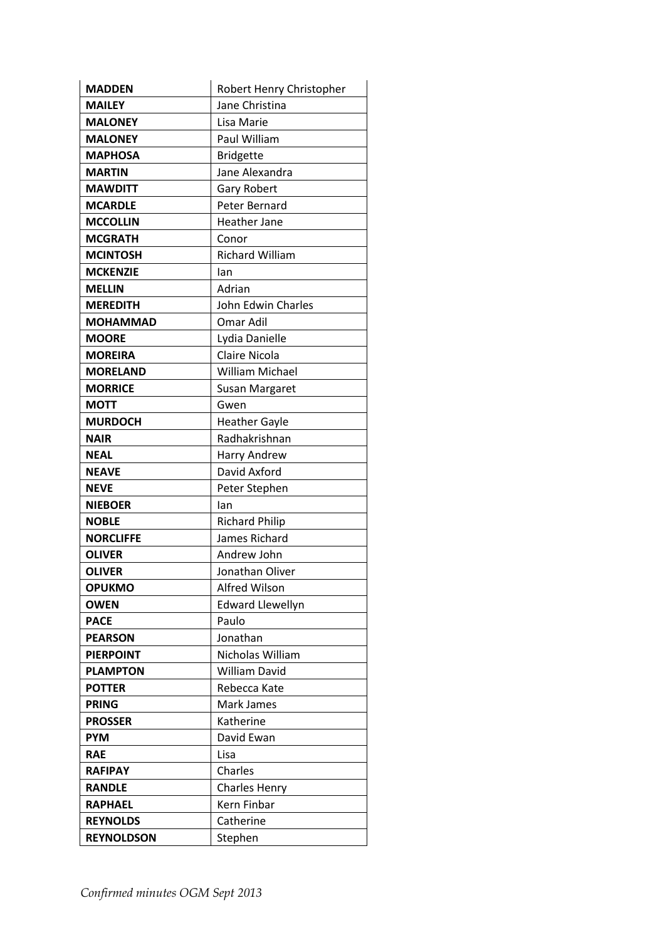| <b>MADDEN</b>     | Robert Henry Christopher |
|-------------------|--------------------------|
| <b>MAILEY</b>     | Jane Christina           |
| <b>MALONEY</b>    | Lisa Marie               |
| <b>MALONEY</b>    | Paul William             |
| <b>MAPHOSA</b>    | <b>Bridgette</b>         |
| <b>MARTIN</b>     | Jane Alexandra           |
| <b>MAWDITT</b>    | Gary Robert              |
| <b>MCARDLE</b>    | Peter Bernard            |
| <b>MCCOLLIN</b>   | <b>Heather Jane</b>      |
| <b>MCGRATH</b>    | Conor                    |
| <b>MCINTOSH</b>   | <b>Richard William</b>   |
| <b>MCKENZIE</b>   | lan                      |
| <b>MELLIN</b>     | Adrian                   |
| <b>MEREDITH</b>   | John Edwin Charles       |
| <b>MOHAMMAD</b>   | Omar Adil                |
| <b>MOORE</b>      | Lydia Danielle           |
| <b>MOREIRA</b>    | Claire Nicola            |
| <b>MORELAND</b>   | <b>William Michael</b>   |
| <b>MORRICE</b>    | Susan Margaret           |
| <b>MOTT</b>       | Gwen                     |
| <b>MURDOCH</b>    | <b>Heather Gayle</b>     |
| <b>NAIR</b>       | Radhakrishnan            |
| <b>NEAL</b>       | Harry Andrew             |
| <b>NEAVE</b>      | David Axford             |
| <b>NEVE</b>       | Peter Stephen            |
| <b>NIEBOER</b>    | lan                      |
| <b>NOBLE</b>      | <b>Richard Philip</b>    |
| <b>NORCLIFFE</b>  | James Richard            |
| <b>OLIVER</b>     | Andrew John              |
| <b>OLIVER</b>     | Jonathan Oliver          |
| <b>OPUKMO</b>     | <b>Alfred Wilson</b>     |
| <b>OWEN</b>       | <b>Edward Llewellyn</b>  |
| <b>PACE</b>       | Paulo                    |
| <b>PEARSON</b>    | Jonathan                 |
| <b>PIERPOINT</b>  | Nicholas William         |
| <b>PLAMPTON</b>   | <b>William David</b>     |
| <b>POTTER</b>     | Rebecca Kate             |
| <b>PRING</b>      | Mark James               |
| <b>PROSSER</b>    | Katherine                |
| <b>PYM</b>        | David Ewan               |
| <b>RAE</b>        | Lisa                     |
| <b>RAFIPAY</b>    | Charles                  |
| <b>RANDLE</b>     | <b>Charles Henry</b>     |
| <b>RAPHAEL</b>    | Kern Finbar              |
| <b>REYNOLDS</b>   | Catherine                |
| <b>REYNOLDSON</b> | Stephen                  |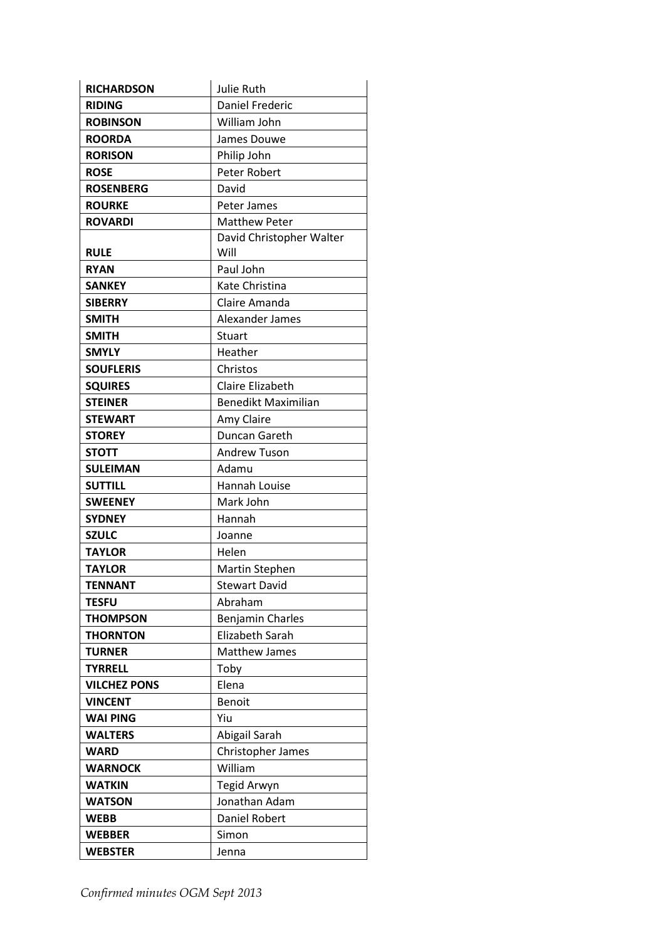| <b>RICHARDSON</b>   | Julie Ruth                 |
|---------------------|----------------------------|
| <b>RIDING</b>       | <b>Daniel Frederic</b>     |
| <b>ROBINSON</b>     | William John               |
| <b>ROORDA</b>       | James Douwe                |
| <b>RORISON</b>      | Philip John                |
| <b>ROSE</b>         | Peter Robert               |
| <b>ROSENBERG</b>    | David                      |
| <b>ROURKE</b>       | Peter James                |
| <b>ROVARDI</b>      | Matthew Peter              |
|                     | David Christopher Walter   |
| <b>RULE</b>         | Will                       |
| <b>RYAN</b>         | Paul John                  |
| <b>SANKEY</b>       | Kate Christina             |
| <b>SIBERRY</b>      | Claire Amanda              |
| <b>SMITH</b>        | Alexander James            |
| <b>SMITH</b>        | Stuart                     |
| <b>SMYLY</b>        | Heather                    |
| <b>SOUFLERIS</b>    | Christos                   |
| <b>SQUIRES</b>      | Claire Elizabeth           |
| <b>STEINER</b>      | <b>Benedikt Maximilian</b> |
| <b>STEWART</b>      | Amy Claire                 |
| <b>STOREY</b>       | Duncan Gareth              |
| <b>STOTT</b>        | <b>Andrew Tuson</b>        |
| <b>SULEIMAN</b>     | Adamu                      |
| <b>SUTTILL</b>      | <b>Hannah Louise</b>       |
| <b>SWEENEY</b>      | Mark John                  |
| <b>SYDNEY</b>       | Hannah                     |
| <b>SZULC</b>        | Joanne                     |
| <b>TAYLOR</b>       | Helen                      |
| <b>TAYLOR</b>       | <b>Martin Stephen</b>      |
| TENNANT             | <b>Stewart David</b>       |
| <b>TESFU</b>        | Abraham                    |
| <b>THOMPSON</b>     | Benjamin Charles           |
| <b>THORNTON</b>     | Elizabeth Sarah            |
| <b>TURNER</b>       | <b>Matthew James</b>       |
| <b>TYRRELL</b>      | Toby                       |
| <b>VILCHEZ PONS</b> | Elena                      |
| <b>VINCENT</b>      | <b>Benoit</b>              |
| <b>WAI PING</b>     | Yiu                        |
| <b>WALTERS</b>      | Abigail Sarah              |
| <b>WARD</b>         | Christopher James          |
| <b>WARNOCK</b>      | William                    |
| <b>WATKIN</b>       | Tegid Arwyn                |
| <b>WATSON</b>       | Jonathan Adam              |
| <b>WEBB</b>         | Daniel Robert              |
| <b>WEBBER</b>       | Simon                      |
| <b>WEBSTER</b>      | Jenna                      |